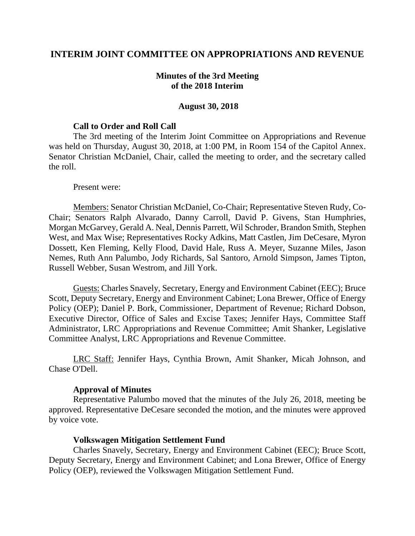# **INTERIM JOINT COMMITTEE ON APPROPRIATIONS AND REVENUE**

### **Minutes of the 3rd Meeting of the 2018 Interim**

#### **August 30, 2018**

#### **Call to Order and Roll Call**

The 3rd meeting of the Interim Joint Committee on Appropriations and Revenue was held on Thursday, August 30, 2018, at 1:00 PM, in Room 154 of the Capitol Annex. Senator Christian McDaniel, Chair, called the meeting to order, and the secretary called the roll.

#### Present were:

Members: Senator Christian McDaniel, Co-Chair; Representative Steven Rudy, Co-Chair; Senators Ralph Alvarado, Danny Carroll, David P. Givens, Stan Humphries, Morgan McGarvey, Gerald A. Neal, Dennis Parrett, Wil Schroder, Brandon Smith, Stephen West, and Max Wise; Representatives Rocky Adkins, Matt Castlen, Jim DeCesare, Myron Dossett, Ken Fleming, Kelly Flood, David Hale, Russ A. Meyer, Suzanne Miles, Jason Nemes, Ruth Ann Palumbo, Jody Richards, Sal Santoro, Arnold Simpson, James Tipton, Russell Webber, Susan Westrom, and Jill York.

Guests: Charles Snavely, Secretary, Energy and Environment Cabinet (EEC); Bruce Scott, Deputy Secretary, Energy and Environment Cabinet; Lona Brewer, Office of Energy Policy (OEP); Daniel P. Bork, Commissioner, Department of Revenue; Richard Dobson, Executive Director, Office of Sales and Excise Taxes; Jennifer Hays, Committee Staff Administrator, LRC Appropriations and Revenue Committee; Amit Shanker, Legislative Committee Analyst, LRC Appropriations and Revenue Committee.

LRC Staff: Jennifer Hays, Cynthia Brown, Amit Shanker, Micah Johnson, and Chase O'Dell.

### **Approval of Minutes**

Representative Palumbo moved that the minutes of the July 26, 2018, meeting be approved. Representative DeCesare seconded the motion, and the minutes were approved by voice vote.

### **Volkswagen Mitigation Settlement Fund**

Charles Snavely, Secretary, Energy and Environment Cabinet (EEC); Bruce Scott, Deputy Secretary, Energy and Environment Cabinet; and Lona Brewer, Office of Energy Policy (OEP), reviewed the Volkswagen Mitigation Settlement Fund.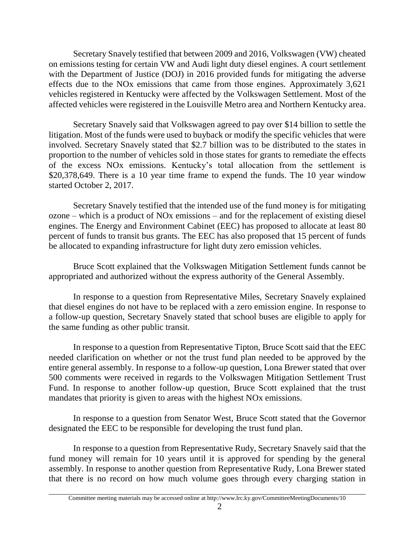Secretary Snavely testified that between 2009 and 2016, Volkswagen (VW) cheated on emissions testing for certain VW and Audi light duty diesel engines. A court settlement with the Department of Justice (DOJ) in 2016 provided funds for mitigating the adverse effects due to the NOx emissions that came from those engines. Approximately 3,621 vehicles registered in Kentucky were affected by the Volkswagen Settlement. Most of the affected vehicles were registered in the Louisville Metro area and Northern Kentucky area.

Secretary Snavely said that Volkswagen agreed to pay over \$14 billion to settle the litigation. Most of the funds were used to buyback or modify the specific vehicles that were involved. Secretary Snavely stated that \$2.7 billion was to be distributed to the states in proportion to the number of vehicles sold in those states for grants to remediate the effects of the excess NOx emissions. Kentucky's total allocation from the settlement is \$20,378,649. There is a 10 year time frame to expend the funds. The 10 year window started October 2, 2017.

Secretary Snavely testified that the intended use of the fund money is for mitigating ozone – which is a product of NOx emissions – and for the replacement of existing diesel engines. The Energy and Environment Cabinet (EEC) has proposed to allocate at least 80 percent of funds to transit bus grants. The EEC has also proposed that 15 percent of funds be allocated to expanding infrastructure for light duty zero emission vehicles.

Bruce Scott explained that the Volkswagen Mitigation Settlement funds cannot be appropriated and authorized without the express authority of the General Assembly.

In response to a question from Representative Miles, Secretary Snavely explained that diesel engines do not have to be replaced with a zero emission engine. In response to a follow-up question, Secretary Snavely stated that school buses are eligible to apply for the same funding as other public transit.

In response to a question from Representative Tipton, Bruce Scott said that the EEC needed clarification on whether or not the trust fund plan needed to be approved by the entire general assembly. In response to a follow-up question, Lona Brewer stated that over 500 comments were received in regards to the Volkswagen Mitigation Settlement Trust Fund. In response to another follow-up question, Bruce Scott explained that the trust mandates that priority is given to areas with the highest NOx emissions.

In response to a question from Senator West, Bruce Scott stated that the Governor designated the EEC to be responsible for developing the trust fund plan.

In response to a question from Representative Rudy, Secretary Snavely said that the fund money will remain for 10 years until it is approved for spending by the general assembly. In response to another question from Representative Rudy, Lona Brewer stated that there is no record on how much volume goes through every charging station in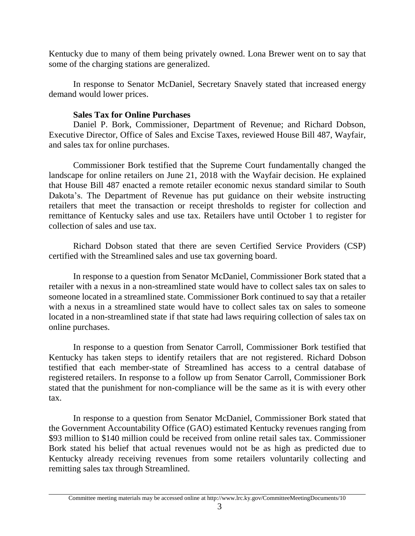Kentucky due to many of them being privately owned. Lona Brewer went on to say that some of the charging stations are generalized.

In response to Senator McDaniel, Secretary Snavely stated that increased energy demand would lower prices.

# **Sales Tax for Online Purchases**

Daniel P. Bork, Commissioner, Department of Revenue; and Richard Dobson, Executive Director, Office of Sales and Excise Taxes, reviewed House Bill 487, Wayfair, and sales tax for online purchases.

Commissioner Bork testified that the Supreme Court fundamentally changed the landscape for online retailers on June 21, 2018 with the Wayfair decision. He explained that House Bill 487 enacted a remote retailer economic nexus standard similar to South Dakota's. The Department of Revenue has put guidance on their website instructing retailers that meet the transaction or receipt thresholds to register for collection and remittance of Kentucky sales and use tax. Retailers have until October 1 to register for collection of sales and use tax.

Richard Dobson stated that there are seven Certified Service Providers (CSP) certified with the Streamlined sales and use tax governing board.

In response to a question from Senator McDaniel, Commissioner Bork stated that a retailer with a nexus in a non-streamlined state would have to collect sales tax on sales to someone located in a streamlined state. Commissioner Bork continued to say that a retailer with a nexus in a streamlined state would have to collect sales tax on sales to someone located in a non-streamlined state if that state had laws requiring collection of sales tax on online purchases.

In response to a question from Senator Carroll, Commissioner Bork testified that Kentucky has taken steps to identify retailers that are not registered. Richard Dobson testified that each member-state of Streamlined has access to a central database of registered retailers. In response to a follow up from Senator Carroll, Commissioner Bork stated that the punishment for non-compliance will be the same as it is with every other tax.

In response to a question from Senator McDaniel, Commissioner Bork stated that the Government Accountability Office (GAO) estimated Kentucky revenues ranging from \$93 million to \$140 million could be received from online retail sales tax. Commissioner Bork stated his belief that actual revenues would not be as high as predicted due to Kentucky already receiving revenues from some retailers voluntarily collecting and remitting sales tax through Streamlined.